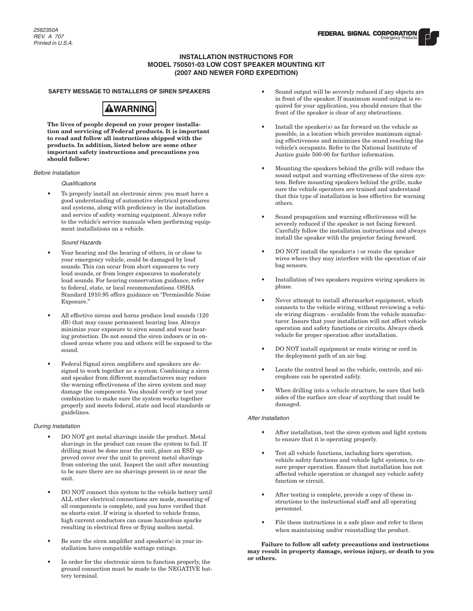#### **INSTALLATION INSTRUCTIONS FOR MODEL 750501-03 LOW COST SPEAKER MOUNTING KIT (2007 AND NEWER FORD EXPEDITION)**

**SAFETY MESSAGE TO INSTALLERS OF SIREN SPEAKERS**



**The lives of people depend on your proper installation and servicing of Federal products. It is important to read and follow all instructions shipped with the products. In addition, listed below are some other important safety instructions and precautions you should follow:** 

#### *Before Installation*

#### *Qualifications*

To properly install an electronic siren: you must have a good understanding of automotive electrical procedures and systems, along with proficiency in the installation and service of safety warning equipment. Always refer to the vehicle's service manuals when performing equipment installations on a vehicle.

#### *Sound Hazards*

- Your hearing and the hearing of others, in or close to your emergency vehicle, could be damaged by loud sounds. This can occur from short exposures to very loud sounds, or from longer exposures to moderately loud sounds. For hearing conservation guidance, refer to federal, state, or local recommendations. OSHA Standard 1910.95 offers guidance on "Permissible Noise Exposure."
- All effective sirens and horns produce loud sounds (120) dB) that may cause permanent hearing loss. Always minimize your exposure to siren sound and wear hearing protection. Do not sound the siren indoors or in enclosed areas where you and others will be exposed to the sound.
- Federal Signal siren amplifiers and speakers are designed to work together as a system. Combining a siren and speaker from different manufacturers may reduce the warning effectiveness of the siren system and may damage the components. You should verify or test your combination to make sure the system works together properly and meets federal, state and local standards or guidelines.

#### *During Installation*

- • DO NOT get metal shavings inside the product. Metal shavings in the product can cause the system to fail. If drilling must be done near the unit, place an ESD approved cover over the unit to prevent metal shavings from entering the unit. Inspect the unit after mounting to be sure there are no shavings present in or near the unit.
- • DO NOT connect this system to the vehicle battery until ALL other electrical connections are made, mounting of all components is complete, and you have verified that no shorts exist. If wiring is shorted to vehicle frame, high current conductors can cause hazardous sparks resulting in electrical fires or flying molten metal.
- Be sure the siren amplifier and speaker(s) in your installation have compatible wattage ratings.
- In order for the electronic siren to function properly, the ground connection must be made to the NEGATIVE battery terminal.
- Sound output will be severely reduced if any objects are in front of the speaker. If maximum sound output is required for your application, you should ensure that the front of the speaker is clear of any obstructions.
- Install the speaker(s) as far forward on the vehicle as possible, in a location which provides maximum signaling effectiveness and minimizes the sound reaching the vehicle's occupants. Refer to the National Institute of Justice guide 500-00 for further information.
- • Mounting the speakers behind the grille will reduce the sound output and warning effectiveness of the siren system. Before mounting speakers behind the grille, make sure the vehicle operators are trained and understand that this type of installation is less effective for warning others.
- • Sound propagation and warning effectiveness will be severely reduced if the speaker is not facing forward. Carefully follow the installation instructions and always install the speaker with the projector facing forward.
- DO NOT install the speaker(s) or route the speaker wires where they may interfere with the operation of air bag sensors.
- Installation of two speakers requires wiring speakers in phase.
- Never attempt to install aftermarket equipment, which connects to the vehicle wiring, without reviewing a vehicle wiring diagram - available from the vehicle manufacturer. Insure that your installation will not affect vehicle operation and safety functions or circuits. Always check vehicle for proper operation after installation.
- DO NOT install equipment or route wiring or cord in the deployment path of an air bag.
- • Locate the control head so the vehicle, controls, and microphone can be operated safely.
- When drilling into a vehicle structure, be sure that both sides of the surface are clear of anything that could be damaged.

#### *After Installation*

- After installation, test the siren system and light system to ensure that it is operating properly.
- • Test all vehicle functions, including horn operation, vehicle safety functions and vehicle light systems, to ensure proper operation. Ensure that installation has not affected vehicle operation or changed any vehicle safety function or circuit.
- After testing is complete, provide a copy of these instructions to the instructional staff and all operating personnel.
- • File these instructions in a safe place and refer to them when maintaining and/or reinstalling the product.

**Failure to follow all safety precautions and instructions may result in property damage, serious injury, or death to you or others.**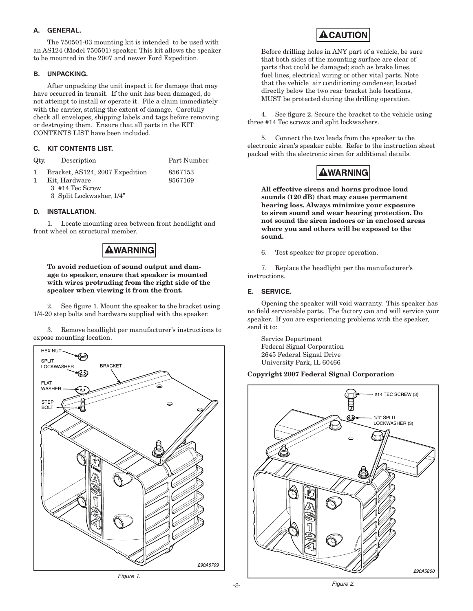### **A. GENERAL.**

 The 750501-03 mounting kit is intended to be used with an AS124 (Model 750501) speaker. This kit allows the speaker to be mounted in the 2007 and newer Ford Expedition.

# **B. UNPACKING.**

 After unpacking the unit inspect it for damage that may have occurred in transit. If the unit has been damaged, do not attempt to install or operate it. File a claim immediately with the carrier, stating the extent of damage. Carefully check all envelopes, shipping labels and tags before removing or destroying them. Ensure that all parts in the KIT CONTENTS LIST have been included.

# **C. KIT CONTENTS LIST.**

| Qtv. | Description                     | Part Number |
|------|---------------------------------|-------------|
|      | Bracket, AS124, 2007 Expedition | 8567153     |
|      | Kit. Hardware                   | 8567169     |

3 #14 Tec Screw

3 Split Lockwasher, 1/4"

# **D. INSTALLATION.**

 1. Locate mounting area between front headlight and front wheel on structural member.

# AWARNING

**To avoid reduction of sound output and damage to speaker, ensure that speaker is mounted with wires protruding from the right side of the speaker when viewing it from the front.**

 2. See figure 1. Mount the speaker to the bracket using 1/4-20 step bolts and hardware supplied with the speaker.

 3. Remove headlight per manufacturer's instructions to expose mounting location.





# **A CAUTION**

Before drilling holes in ANY part of a vehicle, be sure that both sides of the mounting surface are clear of parts that could be damaged; such as brake lines, fuel lines, electrical wiring or other vital parts. Note that the vehicle air conditioning condenser, located directly below the two rear bracket hole locations, MUST be protected during the drilling operation.

 4. See figure 2. Secure the bracket to the vehicle using three #14 Tec screws and split lockwashers.

 5. Connect the two leads from the speaker to the electronic siren's speaker cable. Refer to the instruction sheet packed with the electronic siren for additional details.

# **AWARNING**

**All effective sirens and horns produce loud sounds (120 dB) that may cause permanent hearing loss. Always minimize your exposure to siren sound and wear hearing protection. Do not sound the siren indoors or in enclosed areas where you and others will be exposed to the sound.**

 6. Test speaker for proper operation.

 7. Replace the headlight per the manufacturer's instructions.

#### **E. SERVICE.**

 Opening the speaker will void warranty. This speaker has no field serviceable parts. The factory can and will service your speaker. If you are experiencing problems with the speaker, send it to:

 Service Department Federal Signal Corporation 2645 Federal Signal Drive University Park, IL 60466

#### **Copyright 2007 Federal Signal Corporation**



*Figure 2.*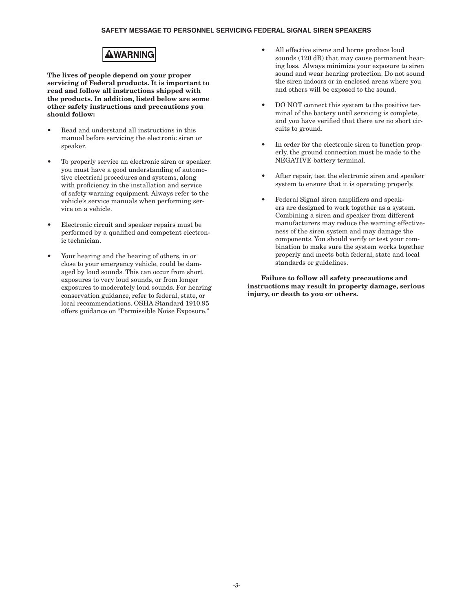#### **SAFETY MESSAGE TO PERSONNEL SERVICING FEDERAL SIGNAL SIREN SPEAKERS**

# **AWARNING**

**The lives of people depend on your proper servicing of Federal products. It is important to read and follow all instructions shipped with the products. In addition, listed below are some other safety instructions and precautions you should follow:**

- Read and understand all instructions in this manual before servicing the electronic siren or speaker.
- • To properly service an electronic siren or speaker: you must have a good understanding of automotive electrical procedures and systems, along with proficiency in the installation and service of safety warning equipment. Always refer to the vehicle's service manuals when performing service on a vehicle.
- • Electronic circuit and speaker repairs must be performed by a qualified and competent electronic technician.
- Your hearing and the hearing of others, in or close to your emergency vehicle, could be damaged by loud sounds. This can occur from short exposures to very loud sounds, or from longer exposures to moderately loud sounds. For hearing conservation guidance, refer to federal, state, or local recommendations. OSHA Standard 1910.95 offers guidance on "Permissible Noise Exposure."
- • All effective sirens and horns produce loud sounds (120 dB) that may cause permanent hearing loss. Always minimize your exposure to siren sound and wear hearing protection. Do not sound the siren indoors or in enclosed areas where you and others will be exposed to the sound.
- DO NOT connect this system to the positive terminal of the battery until servicing is complete, and you have verified that there are no short circuits to ground.
- In order for the electronic siren to function properly, the ground connection must be made to the NEGATIVE battery terminal.
- After repair, test the electronic siren and speaker system to ensure that it is operating properly.
- • Federal Signal siren amplifiers and speakers are designed to work together as a system. Combining a siren and speaker from different manufacturers may reduce the warning effectiveness of the siren system and may damage the components. You should verify or test your combination to make sure the system works together properly and meets both federal, state and local standards or guidelines.

**Failure to follow all safety precautions and instructions may result in property damage, serious injury, or death to you or others.**